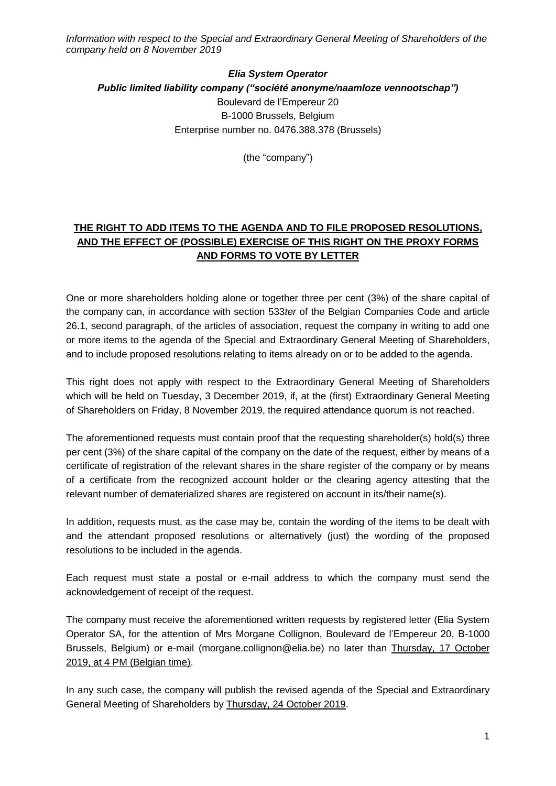*Information with respect to the Special and Extraordinary General Meeting of Shareholders of the company held on 8 November 2019*

## *Elia System Operator Public limited liability company ("société anonyme/naamloze vennootschap")* Boulevard de l'Empereur 20 B-1000 Brussels, Belgium Enterprise number no. 0476.388.378 (Brussels)

(the "company")

## **THE RIGHT TO ADD ITEMS TO THE AGENDA AND TO FILE PROPOSED RESOLUTIONS, AND THE EFFECT OF (POSSIBLE) EXERCISE OF THIS RIGHT ON THE PROXY FORMS AND FORMS TO VOTE BY LETTER**

One or more shareholders holding alone or together three per cent (3%) of the share capital of the company can, in accordance with section 533*ter* of the Belgian Companies Code and article 26.1, second paragraph, of the articles of association, request the company in writing to add one or more items to the agenda of the Special and Extraordinary General Meeting of Shareholders, and to include proposed resolutions relating to items already on or to be added to the agenda.

This right does not apply with respect to the Extraordinary General Meeting of Shareholders which will be held on Tuesday, 3 December 2019, if, at the (first) Extraordinary General Meeting of Shareholders on Friday, 8 November 2019, the required attendance quorum is not reached.

The aforementioned requests must contain proof that the requesting shareholder(s) hold(s) three per cent (3%) of the share capital of the company on the date of the request, either by means of a certificate of registration of the relevant shares in the share register of the company or by means of a certificate from the recognized account holder or the clearing agency attesting that the relevant number of dematerialized shares are registered on account in its/their name(s).

In addition, requests must, as the case may be, contain the wording of the items to be dealt with and the attendant proposed resolutions or alternatively (just) the wording of the proposed resolutions to be included in the agenda.

Each request must state a postal or e-mail address to which the company must send the acknowledgement of receipt of the request.

The company must receive the aforementioned written requests by registered letter (Elia System Operator SA, for the attention of Mrs Morgane Collignon, Boulevard de l'Empereur 20, B-1000 Brussels, Belgium) or e-mail (morgane.collignon@elia.be) no later than Thursday, 17 October 2019, at 4 PM (Belgian time).

In any such case, the company will publish the revised agenda of the Special and Extraordinary General Meeting of Shareholders by Thursday, 24 October 2019.